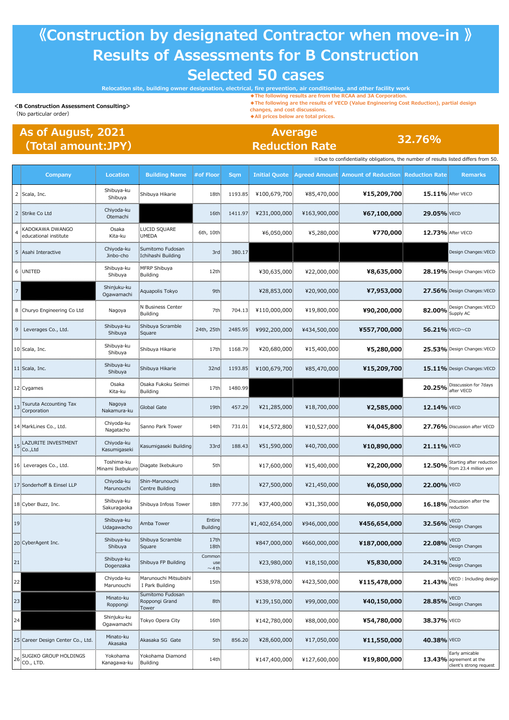## **《Construction by designated Contractor when move-in 》 Results of Assessments for B Construction Selected 50 cases**

**Relocation site, building owner designation, electrical, fire prevention, air conditioning, and other facility work**

**<B Construction Assessment Consulting>** (No particular order)

**◆The following results are from the RCAA and 3A Corporation. ◆The following are the results of VECD (Value Engineering Cost Reduction), partial design**

**changes, and cost discussions.**

**Reduction Rate**

**◆All prices below are total prices.**

**32.76% Average**

## **As of August, 2021 (Total amount:JPY)**

|     |                                          | » Due to confidentiality obligations, the number of results listed differs from 50 |                                             |                               |            |                      |               |                                                     |                   |                                                                      |
|-----|------------------------------------------|------------------------------------------------------------------------------------|---------------------------------------------|-------------------------------|------------|----------------------|---------------|-----------------------------------------------------|-------------------|----------------------------------------------------------------------|
|     | Company                                  | Location                                                                           | <b>Building Name</b>                        | #of Floor                     | <b>Sqm</b> | <b>Initial Quote</b> |               | Agreed Amounti Amount of Reduction   Reduction Rate |                   | <b>Remarks</b>                                                       |
|     | 2 Scala, Inc.                            | Shibuya-ku<br>Shibuya                                                              | Shibuya Hikarie                             | 18th                          | 1193.85    | ¥100,679,700         | ¥85,470,000   | ¥15,209,700                                         | 15.11% After VECD |                                                                      |
|     | 2 Strike Co Ltd                          | Chiyoda-ku<br>Otemachi                                                             |                                             | 16th                          | 1411.97    | ¥231,000,000         | ¥163,900,000  | ¥67,100,000                                         | 29.05% VECD       |                                                                      |
|     | KADOKAWA DWANGO<br>educational institute | Osaka<br>Kita-ku                                                                   | LUCID SQUARE<br><b>UMEDA</b>                | 6th, 10th                     |            | ¥6,050,000           | ¥5,280,000    | ¥770,000                                            | 12.73% After VECD |                                                                      |
|     | 5 Asahi Interactive                      | Chiyoda-ku<br>Jinbo-cho                                                            | Sumitomo Fudosan<br>Ichihashi Building      | 3rd.                          | 380.17     |                      |               |                                                     |                   | Design Changes: VECD                                                 |
| 6   | <b>UNITED</b>                            | Shibuya-ku<br>Shibuya                                                              | MFRP Shibuya<br>Building                    | 12th                          |            | ¥30,635,000          | ¥22,000,000   | ¥8,635,000                                          |                   | 28.19% Design Changes: VECD                                          |
|     |                                          | Shinjuku-ku<br>Ogawamachi                                                          | Aquapolis Tokyo                             | 9th:                          |            | ¥28,853,000          | ¥20,900,000   | ¥7,953,000                                          |                   | 27.56% Design Changes: VECD                                          |
|     | 8 Churyo Engineering Co Ltd              | Nagoya                                                                             | N Business Center<br>Building               | 7th:                          | 704.13     | ¥110,000,000         | ¥19,800,000   | ¥90,200,000                                         | 82.00%            | :Design Changes:VECD<br>Supply AC                                    |
|     | 9 Leverages Co., Ltd.                    | Shibuya-ku<br>Shibuya                                                              | Shibuya Scramble<br>Square                  | 24th, 25th                    | 2485.95    | ¥992,200,000         | ¥434,500,000  | ¥557,700,000                                        | 56.21% VECD~CD    |                                                                      |
|     | 10 Scala, Inc.                           | Shibuya-ku<br>Shibuya                                                              | Shibuya Hikarie                             | 17th                          | 1168.79    | ¥20,680,000          | ¥15,400,000   | ¥5,280,000                                          |                   | 25.53% Design Changes: VECD                                          |
|     | 11 Scala, Inc.                           | Shibuya-ku<br>Shibuya                                                              | Shibuya Hikarie                             | 32 <sub>nd</sub>              | 1193.85    | ¥100,679,700         | ¥85,470,000   | ¥15,209,700                                         |                   | 15.11% Design Changes: VECD                                          |
|     | 12 Cygames                               | Osaka<br>Kita-ku                                                                   | Dsaka Fukoku Seimei<br>Building             | 17th                          | 1480.99    |                      |               |                                                     |                   | 20.25% Disscussion for 7days                                         |
| L3  | Tsuruta Accounting Tax<br>Corporation    | Nagoya<br>Nakamura-ku                                                              | Global Gate                                 | 19 <sub>th</sub>              | 457.29     | ¥21,285,000          | ¥18,700,000   | ¥2,585,000                                          | 12.14% VECD       |                                                                      |
|     | 14 MarkLines Co., Ltd.                   | Chiyoda-ku<br>Nagatacho                                                            | Sanno Park Tower                            | 14th                          | 731.01     | ¥14,572,800          | ¥10,527,000   | ¥4,045,800                                          |                   | 27.76% Discussion after VECD                                         |
| L5  | LAZURITE INVESTMENT<br>Co.,Ltd           | Chiyoda-ku<br>Kasumigaseki                                                         | Kasumigaseki Building!                      | 33rd                          | 188.43     | ¥51,590,000          | ¥40,700,000   | ¥10,890,000                                         | 21.11% VECD       |                                                                      |
|     | 16 : Leverages Co., Ltd.                 | Toshima-ku<br>Minami Ikebukuro                                                     | Diagate Ikebukuro                           | 5th                           |            | ¥17,600,000          | ¥15,400,000   | ¥2,200,000                                          | 12.50%            | Starting after reduction<br>from 23.4 million yen                    |
|     | 17: Sonderhoff & Einsel LLP              | Chiyoda-ku<br>Marunouchi                                                           | : Shin-Marunouchi<br>Centre Building        | 18th                          |            | ¥27,500,000          | ¥21,450,000   | ¥6,050,000                                          | 22.00% VECD       |                                                                      |
|     | 18: Cyber Buzz, Inc.                     | Shibuya-ku<br>Sakuragaoka                                                          | Shibuya Infoss Tower                        | 18th                          | 777.36     | ¥37,400,000          | ¥31,350,000!  | ¥6,050,000                                          | 16.18%            | Discussion after the<br>eduction                                     |
| 19. |                                          | Shibuya-ku<br>Udagawacho                                                           | Amba Tower                                  | Entire:<br><b>Building:</b>   |            | ¥1,402,654,000       | ¥946,000,000  | ¥456,654,000                                        | 32.56%            | /ECD<br>Design Changes                                               |
|     | 20 CyberAgent Inc.                       | Shibuya-ku<br>Shibuya                                                              | Shibuya Scramble<br>Square                  | 17th<br>18th                  |            | ¥847,000,000!        | ¥660,000,000  | ¥187,000,000                                        |                   | 22.08% Design Changes                                                |
| 21  |                                          | Shibuya-ku<br>Dogenzaka                                                            | Shibuya FP Building                         | Common:<br>use<br>$\sim$ 4 th |            | ¥23,980,000          | ¥18,150,000   | ¥5,830,000                                          | 24.31%            | VECD<br>Design Changes                                               |
| 22. |                                          | Chiyoda-ku<br>Marunouchi                                                           | Marunouchi Mitsubishi :<br>I Park Building  | 15th                          |            | ¥538,978,000         | ¥423,500,000  | ¥115,478,000                                        | 21.43%            | VECD : Including                                                     |
| 23  |                                          | Minato-ku<br>Roppongi                                                              | Sumitomo Fudosan<br>Roppongi Grand<br>Tower | 8th:                          |            | ¥139,150,000         | ¥99,000,000   | ¥40,150,000                                         | 28.85%            | VECD<br>Design Changes                                               |
| 24  |                                          | Shinjuku-ku<br>Ogawamachi                                                          | Tokyo Opera City                            | 16th                          |            | ¥142,780,000         | ¥88,000,000   | ¥54,780,000                                         | 38.37% VECD       |                                                                      |
|     | 25 Career Design Center Co., Ltd.        | Minato-ku<br>Akasaka                                                               | Akasaka SG Gate                             | 5th                           | 856.20     | ¥28,600,000          | ¥17,050,000   | ¥11,550,000                                         | 40.38% VECD       |                                                                      |
|     | SUGIKO GROUP HOLDINGS<br>CO., LTD.       | Yokohama<br>Kanagawa-ku                                                            | Yokohama Diamond<br>Building                | 14th                          |            | ¥147,400,000!        | ¥127,600,000! | ¥19,800,000                                         |                   | Early amicable<br>13.43% agreement at the<br>client's strong request |